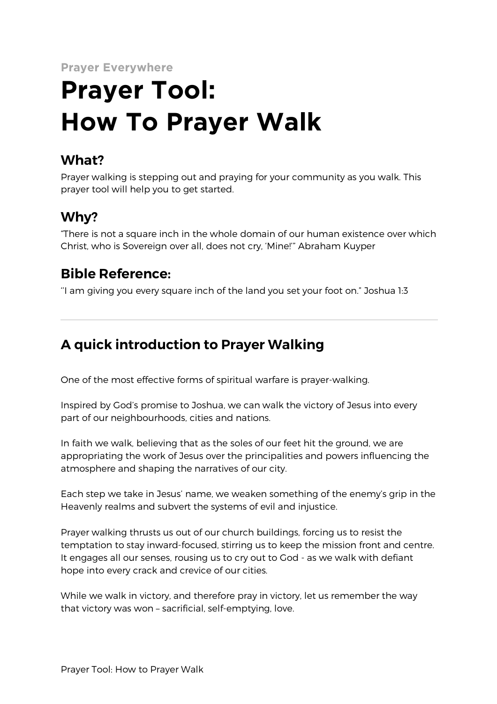**Prayer Everywhere**

# **Prayer Tool: How To Prayer Walk**

## **What?**

Prayer walking is stepping out and praying for your community as you walk. This prayer tool will help you to get started.

## **Why?**

"There is not a square inch in the whole domain of our human existence over which Christ, who is Sovereign over all, does not cry, 'Mine!'" Abraham Kuyper

### **Bible Reference:**

''I am giving you every square inch of the land you set your foot on." Joshua 1:3

# **A quick introduction to Prayer Walking**

One of the most effective forms of spiritual warfare is prayer-walking.

Inspired by God's promise to Joshua, we can walk the victory of Jesus into every part of our neighbourhoods, cities and nations.

In faith we walk, believing that as the soles of our feet hit the ground, we are appropriating the work of Jesus over the principalities and powers influencing the atmosphere and shaping the narratives of our city.

Each step we take in Jesus' name, we weaken something of the enemy's grip in the Heavenly realms and subvert the systems of evil and injustice.

Prayer walking thrusts us out of our church buildings, forcing us to resist the temptation to stay inward-focused, stirring us to keep the mission front and centre. It engages all our senses, rousing us to cry out to God - as we walk with defiant hope into every crack and crevice of our cities.

While we walk in victory, and therefore pray in victory, let us remember the way that victory was won – sacrificial, self-emptying, love.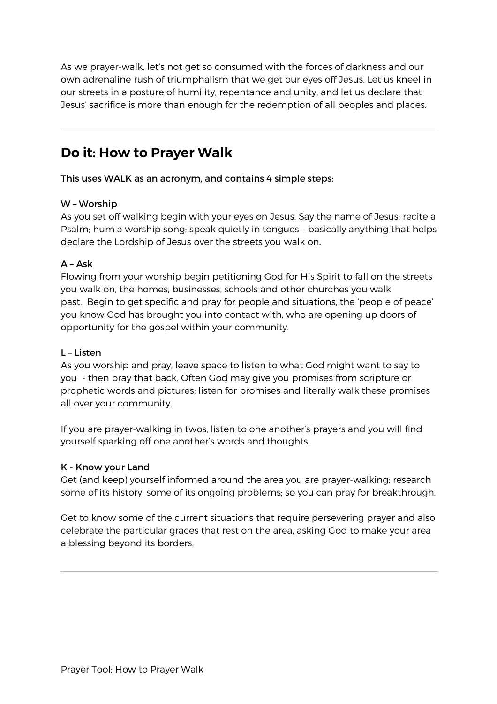As we prayer-walk, let's not get so consumed with the forces of darkness and our own adrenaline rush of triumphalism that we get our eyes off Jesus. Let us kneel in our streets in a posture of humility, repentance and unity, and let us declare that Jesus' sacrifice is more than enough for the redemption of all peoples and places.

## **Do it: How to Prayer Walk**

This uses WALK as an acronym, and contains 4 simple steps:

#### W – Worship

As you set off walking begin with your eyes on Jesus. Say the name of Jesus; recite a Psalm; hum a worship song; speak quietly in tongues – basically anything that helps declare the Lordship of Jesus over the streets you walk on.

#### $A - Ask$

Flowing from your worship begin petitioning God for His Spirit to fall on the streets you walk on, the homes, businesses, schools and other churches you walk past. Begin to get specific and pray for people and situations, the 'people of peace' you know God has brought you into contact with, who are opening up doors of opportunity for the gospel within your community.

#### L – Listen

As you worship and pray, leave space to listen to what God might want to say to you - then pray that back. Often God may give you promises from scripture or prophetic words and pictures; listen for promises and literally walk these promises all over your community.

If you are prayer-walking in twos, listen to one another's prayers and you will find yourself sparking off one another's words and thoughts.

#### K - Know your Land

Get (and keep) yourself informed around the area you are prayer-walking; research some of its history; some of its ongoing problems; so you can pray for breakthrough.

Get to know some of the current situations that require persevering prayer and also celebrate the particular graces that rest on the area, asking God to make your area a blessing beyond its borders.